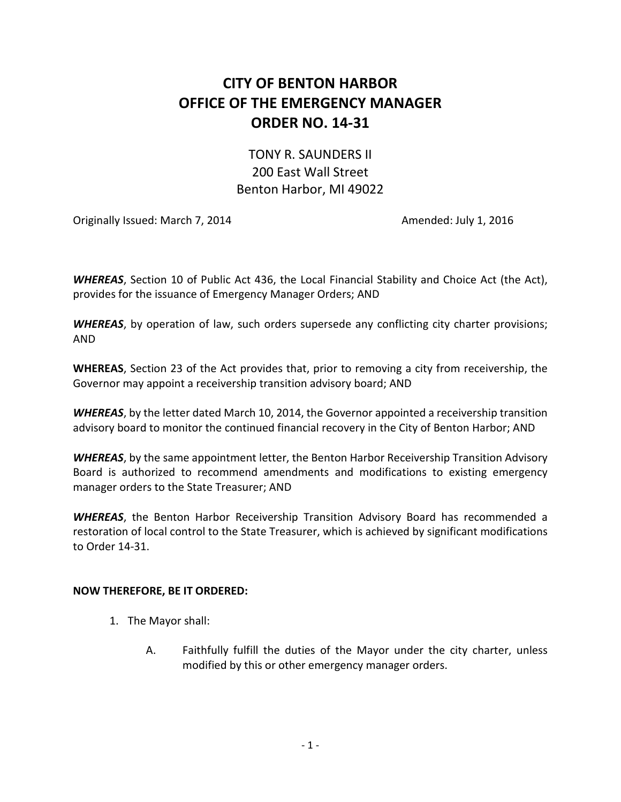## **CITY OF BENTON HARBOR OFFICE OF THE EMERGENCY MANAGER ORDER NO. 14-31**

## TONY R. SAUNDERS II 200 East Wall Street Benton Harbor, MI 49022

Originally Issued: March 7, 2014 **Amended: July 1, 2016** Amended: July 1, 2016

*WHEREAS*, Section 10 of Public Act 436, the Local Financial Stability and Choice Act (the Act), provides for the issuance of Emergency Manager Orders; AND

*WHEREAS*, by operation of law, such orders supersede any conflicting city charter provisions; AND

**WHEREAS**, Section 23 of the Act provides that, prior to removing a city from receivership, the Governor may appoint a receivership transition advisory board; AND

*WHEREAS*, by the letter dated March 10, 2014, the Governor appointed a receivership transition advisory board to monitor the continued financial recovery in the City of Benton Harbor; AND

*WHEREAS*, by the same appointment letter, the Benton Harbor Receivership Transition Advisory Board is authorized to recommend amendments and modifications to existing emergency manager orders to the State Treasurer; AND

*WHEREAS*, the Benton Harbor Receivership Transition Advisory Board has recommended a restoration of local control to the State Treasurer, which is achieved by significant modifications to Order 14-31.

## **NOW THEREFORE, BE IT ORDERED:**

- 1. The Mayor shall:
	- A. Faithfully fulfill the duties of the Mayor under the city charter, unless modified by this or other emergency manager orders.